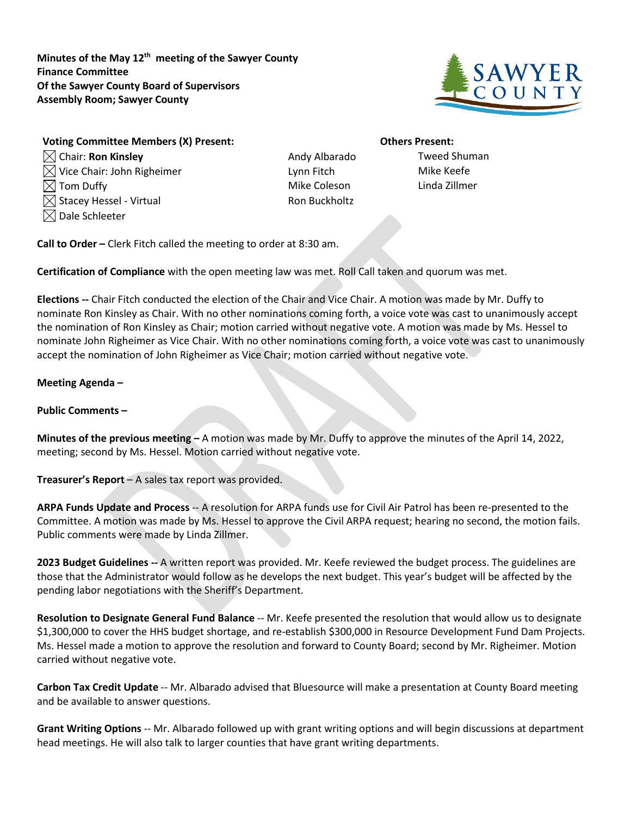**Minutes of the May 12th meeting of the Sawyer County Finance Committee Of the Sawyer County Board of Supervisors Assembly Room; Sawyer County**



**Voting Committee Members (X) Present: Others Present:**  $\boxtimes$  Chair: **Ron Kinsley Allerty Chair: Ron Kinsley Andy Albarado** Tweed Shuman  $\boxtimes$  Vice Chair: John Righeimer  $\qquad \qquad \text{Lynn}$  Fitch  $\qquad \qquad \text{Mike}$  Keefe Tom Duffy Mike Coleson Linda Zillmer  $\boxtimes$  Stacey Hessel - Virtual  $\blacksquare$  $\boxtimes$  Dale Schleeter

**Call to Order –** Clerk Fitch called the meeting to order at 8:30 am.

**Certification of Compliance** with the open meeting law was met. Roll Call taken and quorum was met.

**Elections --** Chair Fitch conducted the election of the Chair and Vice Chair. A motion was made by Mr. Duffy to nominate Ron Kinsley as Chair. With no other nominations coming forth, a voice vote was cast to unanimously accept the nomination of Ron Kinsley as Chair; motion carried without negative vote. A motion was made by Ms. Hessel to nominate John Righeimer as Vice Chair. With no other nominations coming forth, a voice vote was cast to unanimously accept the nomination of John Righeimer as Vice Chair; motion carried without negative vote.

## **Meeting Agenda –**

## **Public Comments –**

**Minutes of the previous meeting –** A motion was made by Mr. Duffy to approve the minutes of the April 14, 2022, meeting; second by Ms. Hessel. Motion carried without negative vote.

**Treasurer's Report** – A sales tax report was provided.

**ARPA Funds Update and Process** -- A resolution for ARPA funds use for Civil Air Patrol has been re-presented to the Committee. A motion was made by Ms. Hessel to approve the Civil ARPA request; hearing no second, the motion fails. Public comments were made by Linda Zillmer.

**2023 Budget Guidelines --** A written report was provided. Mr. Keefe reviewed the budget process. The guidelines are those that the Administrator would follow as he develops the next budget. This year's budget will be affected by the pending labor negotiations with the Sheriff's Department.

**Resolution to Designate General Fund Balance** -- Mr. Keefe presented the resolution that would allow us to designate \$1,300,000 to cover the HHS budget shortage, and re-establish \$300,000 in Resource Development Fund Dam Projects. Ms. Hessel made a motion to approve the resolution and forward to County Board; second by Mr. Righeimer. Motion carried without negative vote.

**Carbon Tax Credit Update** -- Mr. Albarado advised that Bluesource will make a presentation at County Board meeting and be available to answer questions.

**Grant Writing Options** -- Mr. Albarado followed up with grant writing options and will begin discussions at department head meetings. He will also talk to larger counties that have grant writing departments.